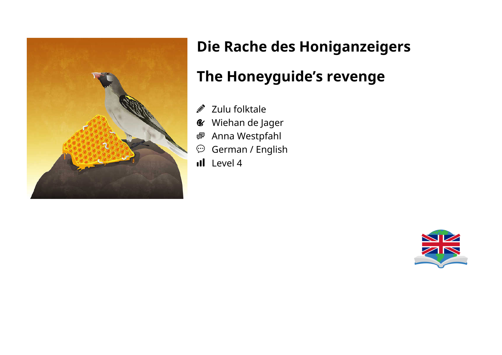

# **Die Rache des Honiganzeigers The Honeyguide's revenge**

#### Zulu folktale Ø.

- Wiehan de Jager  $\mathcal{C}$
- Anna Westpfahl 粵
- German / English  $\odot$
- Il Level 4

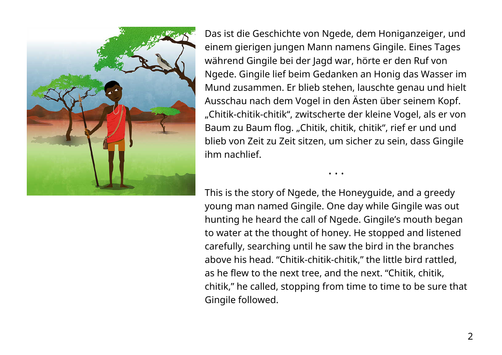

Das ist die Geschichte von Ngede, dem Honiganzeiger, und einem gierigen jungen Mann namens Gingile. Eines Tages während Gingile bei der Jagd war, hörte er den Ruf von Ngede. Gingile lief beim Gedanken an Honig das Wasser im Mund zusammen. Er blieb stehen, lauschte genau und hielt Ausschau nach dem Vogel in den Ästen über seinem Kopf. "Chitik-chitik-chitik", zwitscherte der kleine Vogel, als er von Baum zu Baum flog. "Chitik, chitik, chitik", rief er und und blieb von Zeit zu Zeit sitzen, um sicher zu sein, dass Gingile ihm nachlief.

This is the story of Ngede, the Honeyguide, and a greedy young man named Gingile. One day while Gingile was out hunting he heard the call of Ngede. Gingile's mouth began to water at the thought of honey. He stopped and listened carefully, searching until he saw the bird in the branches above his head. "Chitik-chitik-chitik," the little bird rattled, as he flew to the next tree, and the next. "Chitik, chitik, chitik," he called, stopping from time to time to be sure that Gingile followed.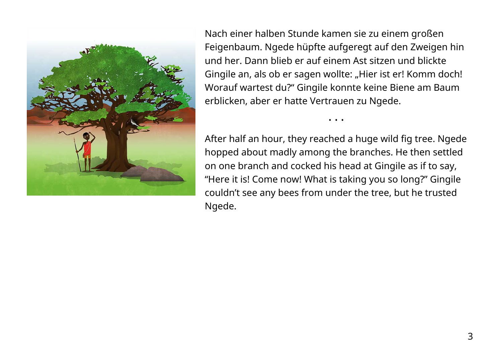

Nach einer halben Stunde kamen sie zu einem großen Feigenbaum. Ngede hüpfte aufgeregt auf den Zweigen hin und her. Dann blieb er auf einem Ast sitzen und blickte Gingile an, als ob er sagen wollte: "Hier ist er! Komm doch! Worauf wartest du?" Gingile konnte keine Biene am Baum erblicken, aber er hatte Vertrauen zu Ngede.

After half an hour, they reached a huge wild fig tree. Ngede hopped about madly among the branches. He then settled on one branch and cocked his head at Gingile as if to say, "Here it is! Come now! What is taking you so long?" Gingile couldn't see any bees from under the tree, but he trusted Ngede.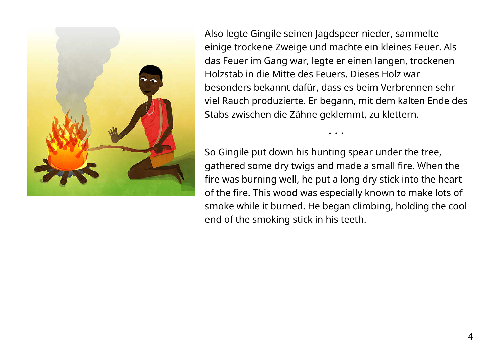

Also legte Gingile seinen Jagdspeer nieder, sammelte einige trockene Zweige und machte ein kleines Feuer. Als das Feuer im Gang war, legte er einen langen, trockenen Holzstab in die Mitte des Feuers. Dieses Holz war besonders bekannt dafür, dass es beim Verbrennen sehr viel Rauch produzierte. Er begann, mit dem kalten Ende des Stabs zwischen die Zähne geklemmt, zu klettern.

So Gingile put down his hunting spear under the tree, gathered some dry twigs and made a small fire. When the fire was burning well, he put a long dry stick into the heart of the fire. This wood was especially known to make lots of smoke while it burned. He began climbing, holding the cool end of the smoking stick in his teeth.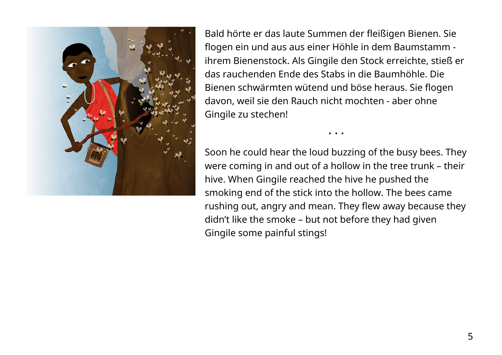

Bald hörte er das laute Summen der fleißigen Bienen. Sie flogen ein und aus aus einer Höhle in dem Baumstamm ihrem Bienenstock. Als Gingile den Stock erreichte, stieß er das rauchenden Ende des Stabs in die Baumhöhle. Die Bienen schwärmten wütend und böse heraus. Sie flogen davon, weil sie den Rauch nicht mochten - aber ohne Gingile zu stechen!

Soon he could hear the loud buzzing of the busy bees. They were coming in and out of a hollow in the tree trunk – their hive. When Gingile reached the hive he pushed the smoking end of the stick into the hollow. The bees came rushing out, angry and mean. They flew away because they didn't like the smoke – but not before they had given Gingile some painful stings!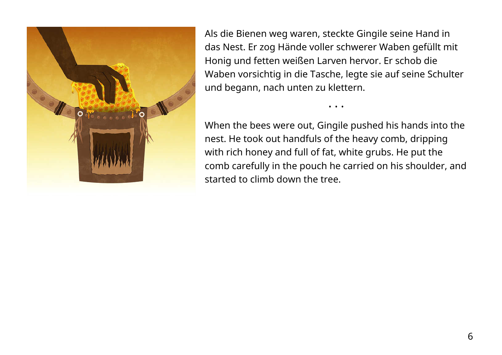

Als die Bienen weg waren, steckte Gingile seine Hand in das Nest. Er zog Hände voller schwerer Waben gefüllt mit Honig und fetten weißen Larven hervor. Er schob die Waben vorsichtig in die Tasche, legte sie auf seine Schulter und begann, nach unten zu klettern.

When the bees were out, Gingile pushed his hands into the nest. He took out handfuls of the heavy comb, dripping with rich honey and full of fat, white grubs. He put the comb carefully in the pouch he carried on his shoulder, and started to climb down the tree.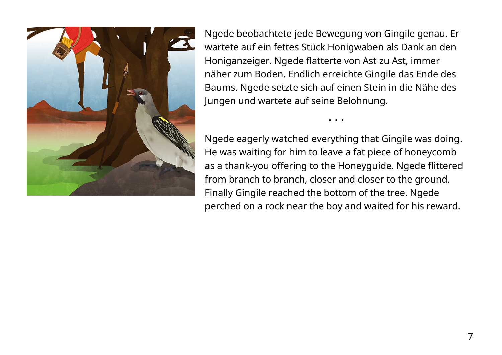

Ngede beobachtete jede Bewegung von Gingile genau. Er wartete auf ein fettes Stück Honigwaben als Dank an den Honiganzeiger. Ngede flatterte von Ast zu Ast, immer näher zum Boden. Endlich erreichte Gingile das Ende des Baums. Ngede setzte sich auf einen Stein in die Nähe des Jungen und wartete auf seine Belohnung.

Ngede eagerly watched everything that Gingile was doing. He was waiting for him to leave a fat piece of honeycomb as a thank-you offering to the Honeyguide. Ngede flittered from branch to branch, closer and closer to the ground. Finally Gingile reached the bottom of the tree. Ngede perched on a rock near the boy and waited for his reward.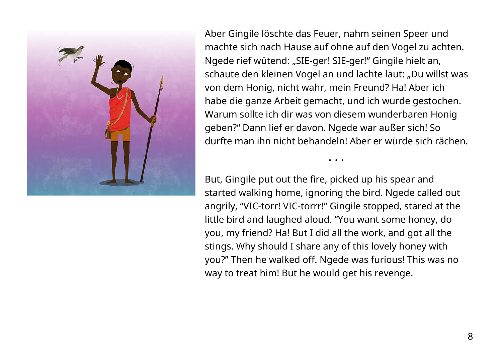

Aber Gingile löschte das Feuer, nahm seinen Speer und machte sich nach Hause auf ohne auf den Vogel zu achten. Ngede rief wütend: "SIE-ger! SIE-ger!" Gingile hielt an, schaute den kleinen Vogel an und lachte laut: "Du willst was von dem Honig, nicht wahr, mein Freund? Ha! Aber ich habe die ganze Arbeit gemacht, und ich wurde gestochen. Warum sollte ich dir was von diesem wunderbaren Honig geben?" Dann lief er davon. Ngede war außer sich! So durfte man ihn nicht behandeln! Aber er würde sich rächen.

• • •

But, Gingile put out the fire, picked up his spear and started walking home, ignoring the bird. Ngede called out angrily, "VIC-torr! VIC-torrr!" Gingile stopped, stared at the little bird and laughed aloud. "You want some honey, do you, my friend? Ha! But I did all the work, and got all the stings. Why should I share any of this lovely honey with you?" Then he walked off. Ngede was furious! This was no way to treat him! But he would get his revenge.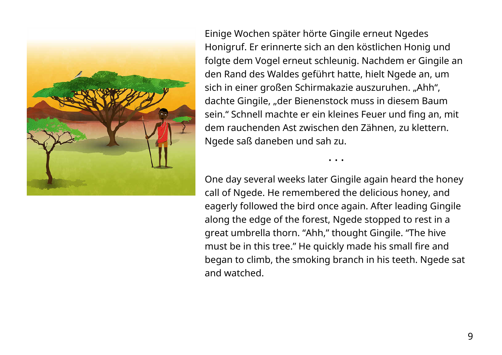

Einige Wochen später hörte Gingile erneut Ngedes Honigruf. Er erinnerte sich an den köstlichen Honig und folgte dem Vogel erneut schleunig. Nachdem er Gingile an den Rand des Waldes geführt hatte, hielt Ngede an, um sich in einer großen Schirmakazie auszuruhen. "Ahh", dachte Gingile, "der Bienenstock muss in diesem Baum sein." Schnell machte er ein kleines Feuer und fing an, mit dem rauchenden Ast zwischen den Zähnen, zu klettern. Ngede saß daneben und sah zu.

One day several weeks later Gingile again heard the honey call of Ngede. He remembered the delicious honey, and eagerly followed the bird once again. After leading Gingile along the edge of the forest, Ngede stopped to rest in a great umbrella thorn. "Ahh," thought Gingile. "The hive must be in this tree." He quickly made his small fire and began to climb, the smoking branch in his teeth. Ngede sat and watched.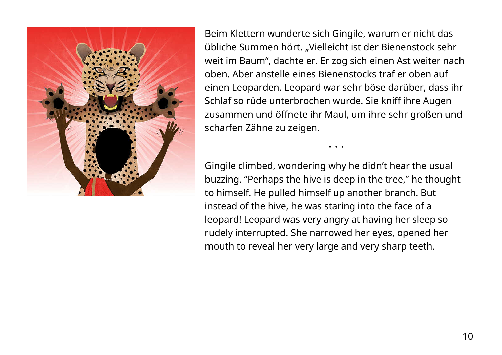

Beim Klettern wunderte sich Gingile, warum er nicht das übliche Summen hört. "Vielleicht ist der Bienenstock sehr weit im Baum", dachte er. Er zog sich einen Ast weiter nach oben. Aber anstelle eines Bienenstocks traf er oben auf einen Leoparden. Leopard war sehr böse darüber, dass ihr Schlaf so rüde unterbrochen wurde. Sie kniff ihre Augen zusammen und öffnete ihr Maul, um ihre sehr großen und scharfen Zähne zu zeigen.

• • •

Gingile climbed, wondering why he didn't hear the usual buzzing. "Perhaps the hive is deep in the tree," he thought to himself. He pulled himself up another branch. But instead of the hive, he was staring into the face of a leopard! Leopard was very angry at having her sleep so rudely interrupted. She narrowed her eyes, opened her mouth to reveal her very large and very sharp teeth.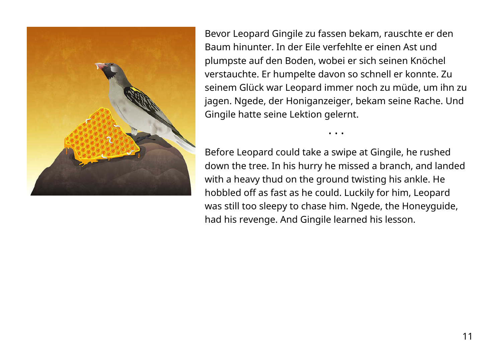

Bevor Leopard Gingile zu fassen bekam, rauschte er den Baum hinunter. In der Eile verfehlte er einen Ast und plumpste auf den Boden, wobei er sich seinen Knöchel verstauchte. Er humpelte davon so schnell er konnte. Zu seinem Glück war Leopard immer noch zu müde, um ihn zu jagen. Ngede, der Honiganzeiger, bekam seine Rache. Und Gingile hatte seine Lektion gelernt.

Before Leopard could take a swipe at Gingile, he rushed down the tree. In his hurry he missed a branch, and landed with a heavy thud on the ground twisting his ankle. He hobbled off as fast as he could. Luckily for him, Leopard was still too sleepy to chase him. Ngede, the Honeyguide, had his revenge. And Gingile learned his lesson.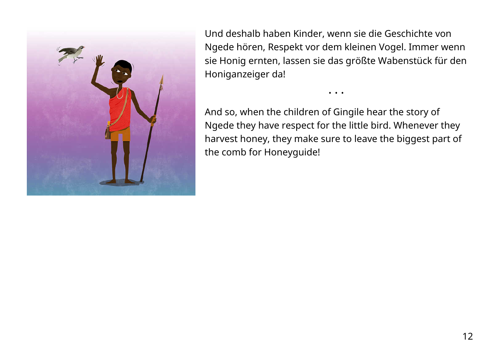

Und deshalb haben Kinder, wenn sie die Geschichte von Ngede hören, Respekt vor dem kleinen Vogel. Immer wenn sie Honig ernten, lassen sie das größte Wabenstück für den Honiganzeiger da!

• • •

And so, when the children of Gingile hear the story of Ngede they have respect for the little bird. Whenever they harvest honey, they make sure to leave the biggest part of the comb for Honeyguide!